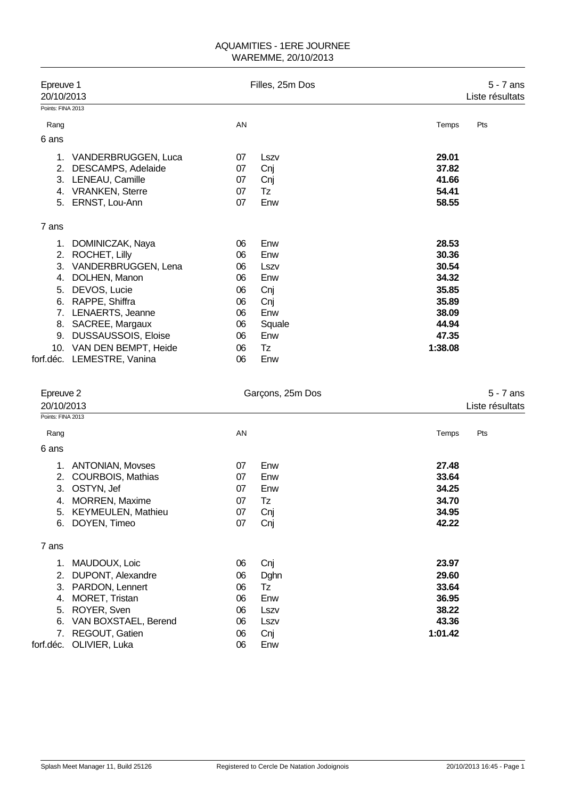| Epreuve 1<br>20/10/2013<br>Points: FINA 2013 |                            |    | Filles, 25m Dos  |         | $5 - 7$ ans<br>Liste résultats |
|----------------------------------------------|----------------------------|----|------------------|---------|--------------------------------|
|                                              |                            |    |                  |         |                                |
| Rang                                         |                            | AN |                  | Temps   | Pts                            |
| 6 ans                                        |                            |    |                  |         |                                |
|                                              | 1. VANDERBRUGGEN, Luca     | 07 | Lszv             | 29.01   |                                |
| 2.                                           | DESCAMPS, Adelaide         | 07 | Cnj              | 37.82   |                                |
| 3.                                           | LENEAU, Camille            | 07 | Cnj              | 41.66   |                                |
| 4.                                           | <b>VRANKEN, Sterre</b>     | 07 | Tz               | 54.41   |                                |
| 5.                                           | ERNST, Lou-Ann             | 07 | Enw              | 58.55   |                                |
| 7 ans                                        |                            |    |                  |         |                                |
| 1.                                           | DOMINICZAK, Naya           | 06 | Enw              | 28.53   |                                |
| 2.                                           | ROCHET, Lilly              | 06 | Enw              | 30.36   |                                |
| 3.                                           | VANDERBRUGGEN, Lena        | 06 | Lszv             | 30.54   |                                |
| 4.                                           | DOLHEN, Manon              | 06 | Enw              | 34.32   |                                |
| 5.                                           | DEVOS, Lucie               | 06 | Cnj              | 35.85   |                                |
| 6.                                           | RAPPE, Shiffra             | 06 | Cnj              | 35.89   |                                |
| 7.                                           | LENAERTS, Jeanne           | 06 | Enw              | 38.09   |                                |
| 8.                                           | SACREE, Margaux            | 06 | Squale           | 44.94   |                                |
| 9.                                           | <b>DUSSAUSSOIS, Eloise</b> | 06 | Enw              | 47.35   |                                |
|                                              | 10. VAN DEN BEMPT, Heide   | 06 | Tz               | 1:38.08 |                                |
|                                              | forf.déc. LEMESTRE, Vanina | 06 | Enw              |         |                                |
| Epreuve 2<br>20/10/2013                      |                            |    | Garçons, 25m Dos |         | $5 - 7$ ans<br>Liste résultats |
| Points: FINA 2013                            |                            |    |                  |         |                                |
| Rang                                         |                            | AN |                  | Temps   | Pts                            |

| 6 ans |                           |    |      |         |
|-------|---------------------------|----|------|---------|
| 1.    | <b>ANTONIAN, Movses</b>   | 07 | Enw  | 27.48   |
| 2.    | <b>COURBOIS, Mathias</b>  | 07 | Enw  | 33.64   |
| 3.    | OSTYN, Jef                | 07 | Enw  | 34.25   |
| 4.    | <b>MORREN, Maxime</b>     | 07 | Tz   | 34.70   |
| 5.    | <b>KEYMEULEN, Mathieu</b> | 07 | Cnj  | 34.95   |
| 6.    | DOYEN, Timeo              | 07 | Cnj  | 42.22   |
| 7 ans |                           |    |      |         |
| 1.    | MAUDOUX, Loic             | 06 | Cnj  | 23.97   |
| 2.    | DUPONT, Alexandre         | 06 | Dghn | 29.60   |
| 3.    | PARDON, Lennert           | 06 | Tz   | 33.64   |
| 4.    | MORET, Tristan            | 06 | Enw  | 36.95   |
| 5.    | ROYER, Sven               | 06 | Lszv | 38.22   |
| 6.    | VAN BOXSTAEL, Berend      | 06 | Lszv | 43.36   |
| 7.    | REGOUT, Gatien            | 06 | Cnj  | 1:01.42 |
|       | forf.déc. OLIVIER, Luka   | 06 | Enw  |         |
|       |                           |    |      |         |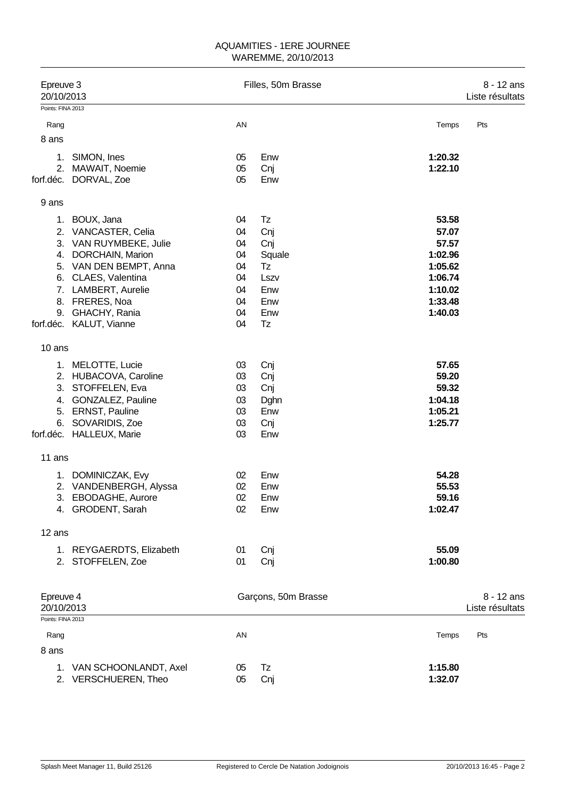| Epreuve 3<br>20/10/2013                      |                          | Filles, 50m Brasse | 8 - 12 ans<br>Liste résultats |         |                               |
|----------------------------------------------|--------------------------|--------------------|-------------------------------|---------|-------------------------------|
| Points: FINA 2013                            |                          |                    |                               |         |                               |
| Rang                                         |                          | AN                 |                               | Temps   | Pts                           |
| 8 ans                                        |                          |                    |                               |         |                               |
| SIMON, Ines<br>1.                            |                          | 05                 | Enw                           | 1:20.32 |                               |
| 2.                                           | MAWAIT, Noemie           | 05                 | Cnj                           | 1:22.10 |                               |
| forf.déc. DORVAL, Zoe                        |                          | 05                 | Enw                           |         |                               |
| 9 ans                                        |                          |                    |                               |         |                               |
| 1. BOUX, Jana                                |                          | 04                 | Tz                            | 53.58   |                               |
| 2. VANCASTER, Celia                          |                          | 04                 | Cnj                           | 57.07   |                               |
|                                              | 3. VAN RUYMBEKE, Julie   | 04                 | Cnj                           | 57.57   |                               |
| 4. DORCHAIN, Marion                          |                          | 04                 | Squale                        | 1:02.96 |                               |
|                                              | 5. VAN DEN BEMPT, Anna   | 04                 | Tz                            | 1:05.62 |                               |
| 6. CLAES, Valentina                          |                          | 04                 | Lszv                          | 1:06.74 |                               |
| 7. LAMBERT, Aurelie                          |                          | 04                 | Enw                           | 1:10.02 |                               |
| 8. FRERES, Noa                               |                          | 04                 | Enw                           | 1:33.48 |                               |
| 9. GHACHY, Rania                             |                          | 04                 | Enw                           | 1:40.03 |                               |
| forf.déc. KALUT, Vianne                      |                          | 04                 | <b>Tz</b>                     |         |                               |
| 10 ans                                       |                          |                    |                               |         |                               |
| 1. MELOTTE, Lucie                            |                          | 03                 | Cnj                           | 57.65   |                               |
|                                              | 2. HUBACOVA, Caroline    | 03                 | Cnj                           | 59.20   |                               |
| 3.                                           | STOFFELEN, Eva           | 03                 | Cnj                           | 59.32   |                               |
|                                              | 4. GONZALEZ, Pauline     | 03                 | Dghn                          | 1:04.18 |                               |
| 5. ERNST, Pauline                            |                          | 03                 | Enw                           | 1:05.21 |                               |
| 6. SOVARIDIS, Zoe                            |                          | 03                 | Cnj                           | 1:25.77 |                               |
| forf.déc. HALLEUX, Marie                     |                          | 03                 | Enw                           |         |                               |
| 11 ans                                       |                          |                    |                               |         |                               |
| 1. DOMINICZAK, Evy                           |                          | 02                 | Enw                           | 54.28   |                               |
|                                              | 2. VANDENBERGH, Alyssa   | 02                 | Enw                           | 55.53   |                               |
| 3.                                           | EBODAGHE, Aurore         | 02                 | Enw                           | 59.16   |                               |
| 4. GRODENT, Sarah                            |                          | 02                 | Enw                           | 1:02.47 |                               |
| 12 ans                                       |                          |                    |                               |         |                               |
|                                              | 1. REYGAERDTS, Elizabeth | 01                 | Cnj                           | 55.09   |                               |
| 2. STOFFELEN, Zoe                            |                          | 01                 | Cnj                           | 1:00.80 |                               |
|                                              |                          |                    |                               |         |                               |
| Epreuve 4<br>20/10/2013<br>Points: FINA 2013 |                          |                    | Garçons, 50m Brasse           |         | 8 - 12 ans<br>Liste résultats |
| Rang                                         |                          | AN                 |                               | Temps   | Pts                           |
| 8 ans                                        |                          |                    |                               |         |                               |
|                                              | 1. VAN SCHOONLANDT, Axel | 05                 | Tz                            | 1:15.80 |                               |
|                                              | 2. VERSCHUEREN, Theo     | 05                 | Cnj                           | 1:32.07 |                               |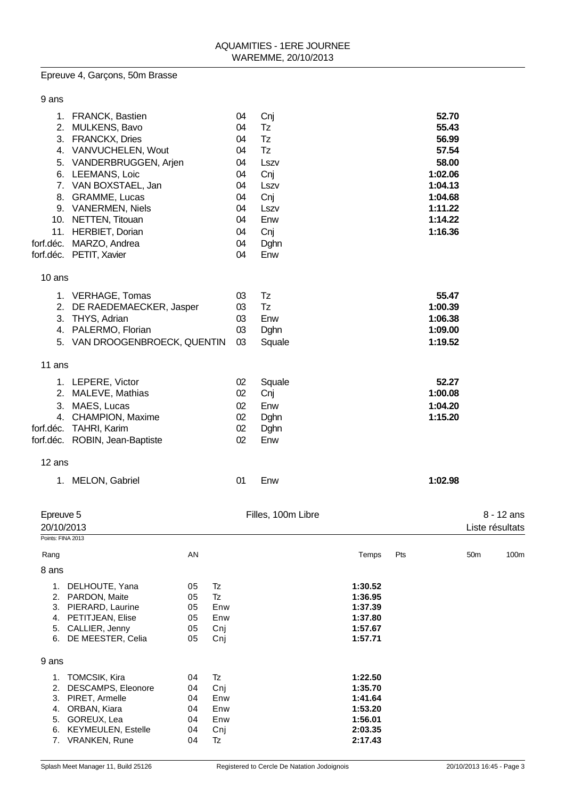## Epreuve 4, Garçons, 50m Brasse

| 9 ans                                        |                                                                                                                                                                                                                                                                                                          |                                        |                                             |                                                                            |                                                                                          |                                                                           |     |                                                                                                             |                 |                               |
|----------------------------------------------|----------------------------------------------------------------------------------------------------------------------------------------------------------------------------------------------------------------------------------------------------------------------------------------------------------|----------------------------------------|---------------------------------------------|----------------------------------------------------------------------------|------------------------------------------------------------------------------------------|---------------------------------------------------------------------------|-----|-------------------------------------------------------------------------------------------------------------|-----------------|-------------------------------|
| 5.<br>11.                                    | 1. FRANCK, Bastien<br>2. MULKENS, Bavo<br>3. FRANCKX, Dries<br>4. VANVUCHELEN, Wout<br>VANDERBRUGGEN, Arjen<br>6. LEEMANS, Loic<br>7. VAN BOXSTAEL, Jan<br>8. GRAMME, Lucas<br>9. VANERMEN, Niels<br>10. NETTEN, Titouan<br><b>HERBIET, Dorian</b><br>forf.déc. MARZO, Andrea<br>forf.déc. PETIT, Xavier |                                        |                                             | 04<br>04<br>04<br>04<br>04<br>04<br>04<br>04<br>04<br>04<br>04<br>04<br>04 | Cnj<br>Tz<br>Tz<br>Tz<br>Lszv<br>Cnj<br>Lszv<br>Cnj<br>Lszv<br>Enw<br>Cnj<br>Dghn<br>Enw |                                                                           |     | 52.70<br>55.43<br>56.99<br>57.54<br>58.00<br>1:02.06<br>1:04.13<br>1:04.68<br>1:11.22<br>1:14.22<br>1:16.36 |                 |                               |
| 10 ans                                       |                                                                                                                                                                                                                                                                                                          |                                        |                                             |                                                                            |                                                                                          |                                                                           |     |                                                                                                             |                 |                               |
|                                              | 1. VERHAGE, Tomas<br>2. DE RAEDEMAECKER, Jasper<br>3. THYS, Adrian<br>4. PALERMO, Florian<br>5. VAN DROOGENBROECK, QUENTIN                                                                                                                                                                               |                                        |                                             | 03<br>03<br>03<br>03<br>03                                                 | Tz<br>Tz<br>Enw<br>Dghn<br>Squale                                                        |                                                                           |     | 55.47<br>1:00.39<br>1:06.38<br>1:09.00<br>1:19.52                                                           |                 |                               |
| 11 ans                                       |                                                                                                                                                                                                                                                                                                          |                                        |                                             |                                                                            |                                                                                          |                                                                           |     |                                                                                                             |                 |                               |
| forf.déc.                                    | 1. LEPERE, Victor<br>2. MALEVE, Mathias<br>3. MAES, Lucas<br>4. CHAMPION, Maxime<br><b>TAHRI, Karim</b><br>forf.déc. ROBIN, Jean-Baptiste                                                                                                                                                                |                                        |                                             | 02<br>02<br>02<br>02<br>02<br>02                                           | Squale<br>Cnj<br>Enw<br>Dghn<br>Dghn<br>Enw                                              |                                                                           |     | 52.27<br>1:00.08<br>1:04.20<br>1:15.20                                                                      |                 |                               |
| 12 ans                                       |                                                                                                                                                                                                                                                                                                          |                                        |                                             |                                                                            |                                                                                          |                                                                           |     |                                                                                                             |                 |                               |
|                                              | 1. MELON, Gabriel                                                                                                                                                                                                                                                                                        |                                        |                                             | 01                                                                         | Enw                                                                                      |                                                                           |     | 1:02.98                                                                                                     |                 |                               |
| Epreuve 5<br>20/10/2013<br>Points: FINA 2013 |                                                                                                                                                                                                                                                                                                          |                                        |                                             |                                                                            | Filles, 100m Libre                                                                       |                                                                           |     |                                                                                                             |                 | 8 - 12 ans<br>Liste résultats |
| Rang                                         |                                                                                                                                                                                                                                                                                                          | AN                                     |                                             |                                                                            |                                                                                          | Temps                                                                     | Pts |                                                                                                             | 50 <sub>m</sub> | 100m                          |
| 8 ans                                        | 1. DELHOUTE, Yana<br>2. PARDON, Maite<br>3. PIERARD, Laurine<br>4. PETITJEAN, Elise<br>5. CALLIER, Jenny<br>6. DE MEESTER, Celia                                                                                                                                                                         | 05<br>05<br>05<br>05<br>05<br>05       | Tz<br>Tz<br>Enw<br>Enw<br>Cnj<br>Cnj        |                                                                            |                                                                                          | 1:30.52<br>1:36.95<br>1:37.39<br>1:37.80<br>1:57.67<br>1:57.71            |     |                                                                                                             |                 |                               |
| 9 ans                                        |                                                                                                                                                                                                                                                                                                          |                                        |                                             |                                                                            |                                                                                          |                                                                           |     |                                                                                                             |                 |                               |
|                                              | 1. TOMCSIK, Kira<br>2. DESCAMPS, Eleonore<br>3. PIRET, Armelle<br>4. ORBAN, Kiara<br>5. GOREUX, Lea<br>6. KEYMEULEN, Estelle<br>7. VRANKEN, Rune                                                                                                                                                         | 04<br>04<br>04<br>04<br>04<br>04<br>04 | Tz<br>Cnj<br>Enw<br>Enw<br>Enw<br>Cnj<br>Tz |                                                                            |                                                                                          | 1:22.50<br>1:35.70<br>1:41.64<br>1:53.20<br>1:56.01<br>2:03.35<br>2:17.43 |     |                                                                                                             |                 |                               |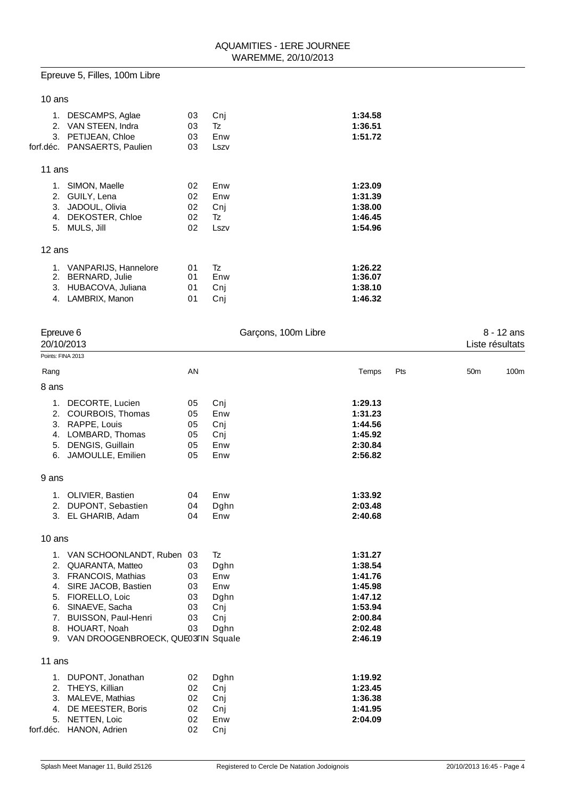## Epreuve 5, Filles, 100m Libre

| 10 ans                      |                                                                                 |                            |                                 |                                                     |
|-----------------------------|---------------------------------------------------------------------------------|----------------------------|---------------------------------|-----------------------------------------------------|
| 1.<br>2.<br>3.<br>forf.déc. | DESCAMPS, Aglae<br>VAN STEEN, Indra<br>PETIJEAN, Chloe<br>PANSAERTS, Paulien    | 03<br>03<br>03<br>03       | Cni<br>Tz<br>Enw<br>Lszv        | 1:34.58<br>1:36.51<br>1:51.72                       |
| 11 ans                      |                                                                                 |                            |                                 |                                                     |
| 1.<br>2.<br>3.<br>4.<br>5.  | SIMON, Maelle<br>GUILY, Lena<br>JADOUL, Olivia<br>DEKOSTER, Chloe<br>MULS, Jill | 02<br>02<br>02<br>02<br>02 | Enw<br>Enw<br>Cnj<br>Tz<br>Lszv | 1:23.09<br>1:31.39<br>1:38.00<br>1:46.45<br>1:54.96 |
| 12 ans                      |                                                                                 |                            |                                 |                                                     |
| 1.<br>2.<br>3.<br>4.        | VANPARIJS, Hannelore<br>BERNARD, Julie<br>HUBACOVA, Juliana<br>LAMBRIX, Manon   | 01<br>01<br>01<br>01       | Tz<br>Enw<br>Cnj<br>Cnj         | 1:26.22<br>1:36.07<br>1:38.10<br>1:46.32            |

| Epreuve 6<br>Garçons, 100m Libre<br>20/10/2013 |                                                                                                                                                                                                                                    |                                        |                                                        |                                                                                                 | 8 - 12 ans<br>Liste résultats |                 |      |
|------------------------------------------------|------------------------------------------------------------------------------------------------------------------------------------------------------------------------------------------------------------------------------------|----------------------------------------|--------------------------------------------------------|-------------------------------------------------------------------------------------------------|-------------------------------|-----------------|------|
| Points: FINA 2013                              |                                                                                                                                                                                                                                    |                                        |                                                        |                                                                                                 |                               |                 |      |
| Rang                                           |                                                                                                                                                                                                                                    | AN                                     |                                                        | Temps                                                                                           | Pts                           | 50 <sub>m</sub> | 100m |
| 8 ans                                          |                                                                                                                                                                                                                                    |                                        |                                                        |                                                                                                 |                               |                 |      |
| 6.                                             | 1. DECORTE, Lucien<br>2. COURBOIS, Thomas<br>3. RAPPE, Louis<br>4. LOMBARD, Thomas<br>5. DENGIS, Guillain<br>JAMOULLE, Emilien                                                                                                     | 05<br>05<br>05<br>05<br>05<br>05       | Cnj<br>Enw<br>Cnj<br>Cnj<br>Enw<br>Enw                 | 1:29.13<br>1:31.23<br>1:44.56<br>1:45.92<br>2:30.84<br>2:56.82                                  |                               |                 |      |
| 9 ans                                          |                                                                                                                                                                                                                                    |                                        |                                                        |                                                                                                 |                               |                 |      |
| 2.                                             | 1. OLIVIER, Bastien<br>DUPONT, Sebastien<br>3. EL GHARIB, Adam                                                                                                                                                                     | 04<br>04<br>04                         | Enw<br>Dghn<br>Enw                                     | 1:33.92<br>2:03.48<br>2:40.68                                                                   |                               |                 |      |
| 10 ans                                         |                                                                                                                                                                                                                                    |                                        |                                                        |                                                                                                 |                               |                 |      |
| 7.                                             | 1. VAN SCHOONLANDT, Ruben 03<br>2. QUARANTA, Matteo<br>3. FRANCOIS, Mathias<br>4. SIRE JACOB, Bastien<br>5. FIORELLO, Loic<br>6. SINAEVE, Sacha<br>BUISSON, Paul-Henri<br>8. HOUART, Noah<br>9. VAN DROOGENBROECK, QUE03FIN Squale | 03<br>03<br>03<br>03<br>03<br>03<br>03 | Tz<br>Dghn<br>Enw<br>Enw<br>Dghn<br>Cnj<br>Cnj<br>Dghn | 1:31.27<br>1:38.54<br>1:41.76<br>1:45.98<br>1:47.12<br>1:53.94<br>2:00.84<br>2:02.48<br>2:46.19 |                               |                 |      |
| 11 ans                                         |                                                                                                                                                                                                                                    |                                        |                                                        |                                                                                                 |                               |                 |      |
| 4.<br>5.<br>forf.déc.                          | 1. DUPONT, Jonathan<br>2. THEYS, Killian<br>3. MALEVE, Mathias<br>DE MEESTER, Boris<br>NETTEN, Loic<br>HANON, Adrien                                                                                                               | 02<br>02<br>02<br>02<br>02<br>02       | Dghn<br>Cnj<br>Cnj<br>Cnj<br>Enw<br>Cnj                | 1:19.92<br>1:23.45<br>1:36.38<br>1:41.95<br>2:04.09                                             |                               |                 |      |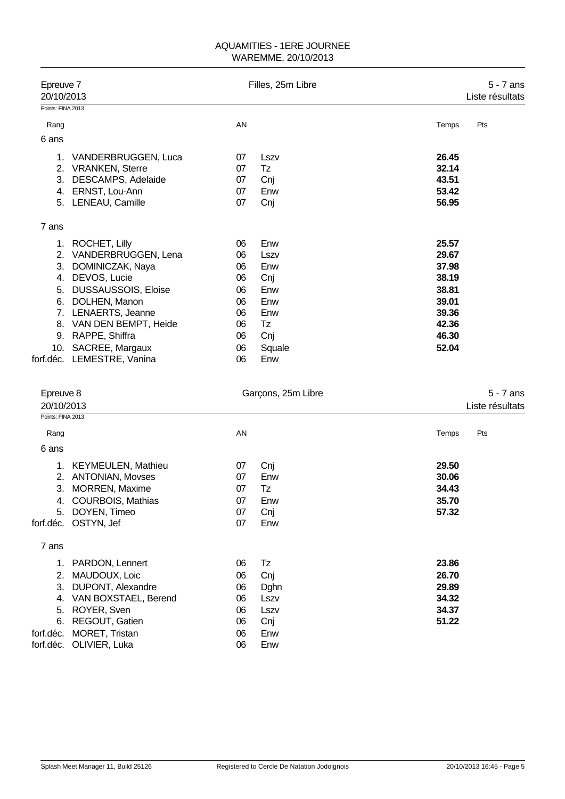| Epreuve 7<br>20/10/2013                  |                                                                                                                                                                                                                                                          |                                                                | Filles, 25m Libre                                                            |                                                                                        | $5 - 7$ ans<br>Liste résultats |
|------------------------------------------|----------------------------------------------------------------------------------------------------------------------------------------------------------------------------------------------------------------------------------------------------------|----------------------------------------------------------------|------------------------------------------------------------------------------|----------------------------------------------------------------------------------------|--------------------------------|
| Points: FINA 2013                        |                                                                                                                                                                                                                                                          |                                                                |                                                                              |                                                                                        |                                |
| Rang                                     |                                                                                                                                                                                                                                                          | AN                                                             |                                                                              | Temps                                                                                  | Pts                            |
| 6 ans                                    |                                                                                                                                                                                                                                                          |                                                                |                                                                              |                                                                                        |                                |
|                                          | 1. VANDERBRUGGEN, Luca<br>2. VRANKEN, Sterre<br>3. DESCAMPS, Adelaide<br>4. ERNST, Lou-Ann<br>5. LENEAU, Camille                                                                                                                                         | 07<br>07<br>07<br>07<br>07                                     | Lszv<br>Tz<br>Cnj<br>Enw<br>Cnj                                              | 26.45<br>32.14<br>43.51<br>53.42<br>56.95                                              |                                |
|                                          |                                                                                                                                                                                                                                                          |                                                                |                                                                              |                                                                                        |                                |
| 7 ans<br>1.<br>5.                        | ROCHET, Lilly<br>2. VANDERBRUGGEN, Lena<br>3. DOMINICZAK, Naya<br>4. DEVOS, Lucie<br>DUSSAUSSOIS, Eloise<br>6. DOLHEN, Manon<br>7. LENAERTS, Jeanne<br>8. VAN DEN BEMPT, Heide<br>9. RAPPE, Shiffra<br>10. SACREE, Margaux<br>forf.déc. LEMESTRE, Vanina | 06<br>06<br>06<br>06<br>06<br>06<br>06<br>06<br>06<br>06<br>06 | Enw<br>Lszv<br>Enw<br>Cnj<br>Enw<br>Enw<br>Enw<br>Tz<br>Cnj<br>Squale<br>Enw | 25.57<br>29.67<br>37.98<br>38.19<br>38.81<br>39.01<br>39.36<br>42.36<br>46.30<br>52.04 |                                |
| Epreuve 8<br>20/10/2013                  |                                                                                                                                                                                                                                                          |                                                                | Garçons, 25m Libre                                                           |                                                                                        | $5 - 7$ ans<br>Liste résultats |
| Points: FINA 2013                        |                                                                                                                                                                                                                                                          |                                                                |                                                                              |                                                                                        |                                |
| Rang<br>6 ans                            |                                                                                                                                                                                                                                                          | AN                                                             |                                                                              | Temps                                                                                  | Pts                            |
| 3.<br>4.<br>5.                           | 1. KEYMEULEN, Mathieu<br>2. ANTONIAN, Movses<br><b>MORREN, Maxime</b><br><b>COURBOIS, Mathias</b><br>DOYEN, Timeo<br>forf.déc. OSTYN, Jef                                                                                                                | 07<br>07<br>07<br>07<br>07<br>07                               | Cnj<br>Enw<br>Tz<br>Enw<br>Cnj<br>Enw                                        | 29.50<br>30.06<br>34.43<br>35.70<br>57.32                                              |                                |
| 7 ans                                    |                                                                                                                                                                                                                                                          |                                                                |                                                                              |                                                                                        |                                |
| 1.<br>3.<br>6.<br>forf.déc.<br>forf.déc. | PARDON, Lennert<br>2. MAUDOUX, Loic<br>DUPONT, Alexandre<br>4. VAN BOXSTAEL, Berend<br>5. ROYER, Sven<br>REGOUT, Gatien<br>MORET, Tristan<br>OLIVIER, Luka                                                                                               | 06<br>06<br>06<br>06<br>06<br>06<br>06<br>06                   | Tz<br>Cnj<br>Dghn<br>Lszv<br>Lszv<br>Cnj<br>Enw<br>Enw                       | 23.86<br>26.70<br>29.89<br>34.32<br>34.37<br>51.22                                     |                                |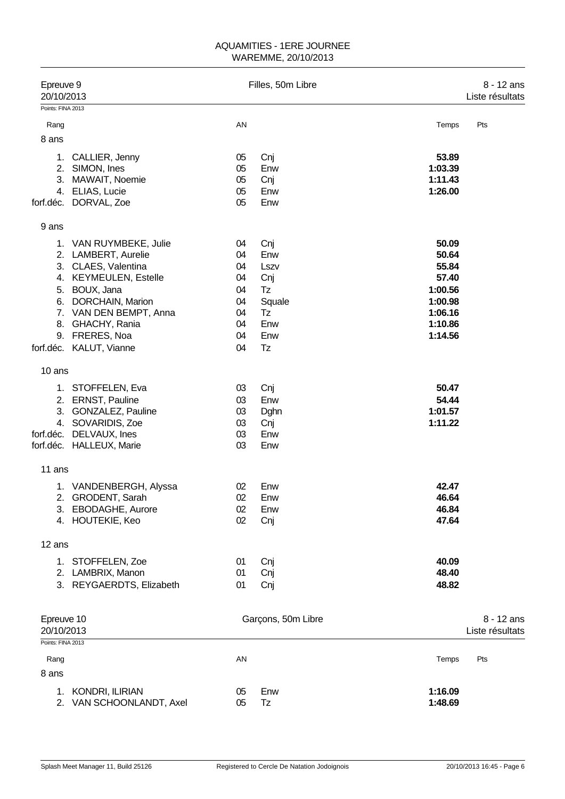| Epreuve 9<br>20/10/2013 |                                            | Filles, 50m Libre |                    |                    |                 |
|-------------------------|--------------------------------------------|-------------------|--------------------|--------------------|-----------------|
| Points: FINA 2013       |                                            |                   |                    |                    |                 |
| Rang                    |                                            | AN                |                    | Temps              | Pts             |
| 8 ans                   |                                            |                   |                    |                    |                 |
| 1.                      | CALLIER, Jenny                             | 05                | Cnj                | 53.89              |                 |
|                         | 2. SIMON, Ines                             | 05                | Enw                | 1:03.39            |                 |
|                         | 3. MAWAIT, Noemie                          | 05                | Cnj                | 1:11.43            |                 |
|                         | 4. ELIAS, Lucie                            | 05                | Enw                | 1:26.00            |                 |
|                         | forf.déc. DORVAL, Zoe                      | 05                | Enw                |                    |                 |
| 9 ans                   |                                            |                   |                    |                    |                 |
|                         | 1. VAN RUYMBEKE, Julie                     | 04                | Cnj                | 50.09              |                 |
|                         | 2. LAMBERT, Aurelie                        | 04                | Enw                | 50.64              |                 |
|                         | 3. CLAES, Valentina                        | 04                | Lszv               | 55.84              |                 |
|                         | 4. KEYMEULEN, Estelle                      | 04                | Cnj                | 57.40              |                 |
|                         | 5. BOUX, Jana                              | 04                | Tz                 | 1:00.56            |                 |
| 6.                      | DORCHAIN, Marion<br>7. VAN DEN BEMPT, Anna | 04<br>04          | Squale<br>Tz       | 1:00.98<br>1:06.16 |                 |
| 8.                      | GHACHY, Rania                              | 04                | Enw                | 1:10.86            |                 |
| 9.                      | FRERES, Noa                                | 04                | Enw                | 1:14.56            |                 |
|                         | forf.déc. KALUT, Vianne                    | 04                | Tz                 |                    |                 |
| 10 ans                  |                                            |                   |                    |                    |                 |
|                         | 1. STOFFELEN, Eva                          | 03                | Cnj                | 50.47              |                 |
|                         | 2. ERNST, Pauline                          | 03                | Enw                | 54.44              |                 |
| 3.                      | <b>GONZALEZ, Pauline</b>                   | 03                | Dghn               | 1:01.57            |                 |
|                         | 4. SOVARIDIS, Zoe                          | 03                | Cnj                | 1:11.22            |                 |
|                         | forf.déc. DELVAUX, Ines                    | 03                | Enw                |                    |                 |
|                         | forf.déc. HALLEUX, Marie                   | 03                | Enw                |                    |                 |
| 11 ans                  |                                            |                   |                    |                    |                 |
|                         | 1. VANDENBERGH, Alyssa                     | 02                | Enw                | 42.47              |                 |
|                         | 2. GRODENT, Sarah                          | 02                | Enw                | 46.64              |                 |
|                         | 3. EBODAGHE, Aurore                        | 02                | Enw                | 46.84              |                 |
|                         | 4. HOUTEKIE, Keo                           | 02                | Cnj                | 47.64              |                 |
| 12 ans                  |                                            |                   |                    |                    |                 |
|                         | 1. STOFFELEN, Zoe                          | 01                | Cnj                | 40.09              |                 |
|                         | 2. LAMBRIX, Manon                          | 01                | Cnj                | 48.40              |                 |
|                         | 3. REYGAERDTS, Elizabeth                   | 01                | Cnj                | 48.82              |                 |
| Epreuve 10              |                                            |                   | Garçons, 50m Libre |                    | 8 - 12 ans      |
| 20/10/2013              |                                            |                   |                    |                    | Liste résultats |
| Points: FINA 2013       |                                            |                   |                    |                    |                 |
| Rang                    |                                            | AN                |                    | Temps              | Pts             |
| 8 ans                   |                                            |                   |                    |                    |                 |
|                         | 1. KONDRI, ILIRIAN                         | 05                | Enw                | 1:16.09            |                 |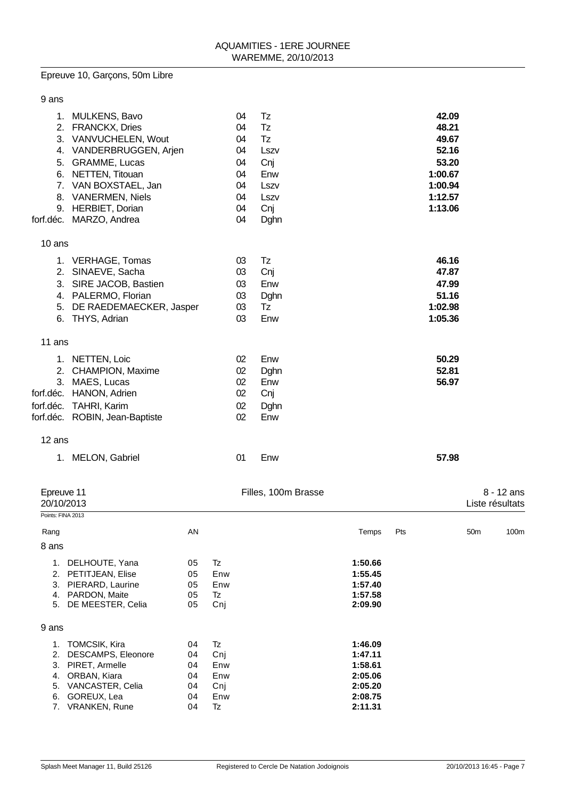# Epreuve 10, Garçons, 50m Libre

| 9 ans       |                                |    |      |         |
|-------------|--------------------------------|----|------|---------|
| $1_{\cdot}$ | <b>MULKENS, Bavo</b>           | 04 | Tz   | 42.09   |
|             | 2. FRANCKX, Dries              | 04 | Tz   | 48.21   |
|             | 3. VANVUCHELEN, Wout           | 04 | Tz   | 49.67   |
| 4.          | VANDERBRUGGEN, Arjen           | 04 | Lszv | 52.16   |
| 5.          | <b>GRAMME, Lucas</b>           | 04 | Cnj  | 53.20   |
|             | 6. NETTEN, Titouan             | 04 | Enw  | 1:00.67 |
|             | 7. VAN BOXSTAEL, Jan           | 04 | Lszv | 1:00.94 |
|             | 8. VANERMEN, Niels             | 04 | Lszv | 1:12.57 |
| 9.          | HERBIET, Dorian                | 04 | Cnj  | 1:13.06 |
| forf.déc.   | MARZO, Andrea                  | 04 | Dghn |         |
| 10 ans      |                                |    |      |         |
|             | 1. VERHAGE, Tomas              | 03 | Tz   | 46.16   |
| 2.          | SINAEVE, Sacha                 | 03 | Cnj  | 47.87   |
| 3.          | SIRE JACOB, Bastien            | 03 | Enw  | 47.99   |
|             | 4. PALERMO, Florian            | 03 | Dghn | 51.16   |
| 5.          | DE RAEDEMAECKER, Jasper        | 03 | Tz   | 1:02.98 |
| 6.          | THYS, Adrian                   | 03 | Enw  | 1:05.36 |
| 11 ans      |                                |    |      |         |
|             | 1. NETTEN, Loic                | 02 | Enw  | 50.29   |
|             | 2. CHAMPION, Maxime            | 02 | Dghn | 52.81   |
|             | 3. MAES, Lucas                 | 02 | Enw  | 56.97   |
|             | forf.déc. HANON, Adrien        | 02 | Cnj  |         |
| forf.déc.   | <b>TAHRI, Karim</b>            | 02 | Dghn |         |
|             | forf.déc. ROBIN, Jean-Baptiste | 02 | Enw  |         |
| 12 ans      |                                |    |      |         |

| 1. MELON, Gabriel | . Enw | 57.98 |
|-------------------|-------|-------|
|                   |       |       |

| Epreuve 11<br>20/10/2013<br>Points: FINA 2013 |                         | Filles, 100m Brasse |     |         | $8 - 12$ ans<br>Liste résultats |                 |      |
|-----------------------------------------------|-------------------------|---------------------|-----|---------|---------------------------------|-----------------|------|
| Rang                                          |                         | AN                  |     | Temps   | Pts                             | 50 <sub>m</sub> | 100m |
| 8 ans                                         |                         |                     |     |         |                                 |                 |      |
| 1.                                            | DELHOUTE, Yana          | 05                  | Tz  | 1:50.66 |                                 |                 |      |
|                                               | 2. PETITJEAN, Elise     | 05                  | Enw | 1:55.45 |                                 |                 |      |
| 3.                                            | PIERARD, Laurine        | 05                  | Enw | 1:57.40 |                                 |                 |      |
| 4.                                            | PARDON, Maite           | 05                  | Tz  | 1:57.58 |                                 |                 |      |
| 5.                                            | DE MEESTER, Celia       | 05                  | Cnj | 2:09.90 |                                 |                 |      |
| 9 ans                                         |                         |                     |     |         |                                 |                 |      |
| 1.                                            | <b>TOMCSIK, Kira</b>    | 04                  | Tz  | 1:46.09 |                                 |                 |      |
| 2.                                            | DESCAMPS, Eleonore      | 04                  | Cnj | 1:47.11 |                                 |                 |      |
| 3.                                            | PIRET, Armelle          | 04                  | Enw | 1:58.61 |                                 |                 |      |
| 4.                                            | ORBAN, Kiara            | 04                  | Enw | 2:05.06 |                                 |                 |      |
| 5.                                            | <b>VANCASTER, Celia</b> | 04                  | Cni | 2:05.20 |                                 |                 |      |
| 6.                                            | GOREUX, Lea             | 04                  | Enw | 2:08.75 |                                 |                 |      |
|                                               | 7. VRANKEN, Rune        | 04                  | Tz  | 2:11.31 |                                 |                 |      |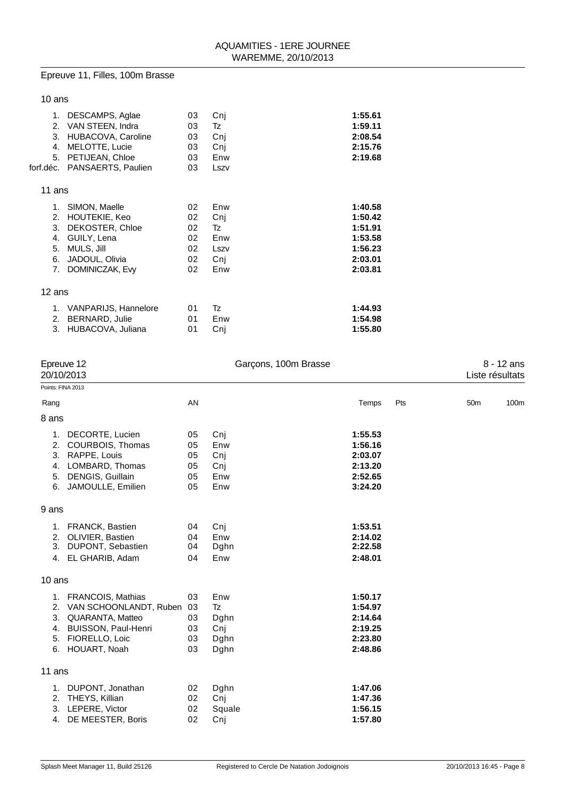# Epreuve 11, Filles, 100m Brasse

### 10 ans

| 1.<br>2.<br>3.<br>4.<br>5. | DESCAMPS, Aglae<br>VAN STEEN, Indra<br>HUBACOVA, Caroline<br>MELOTTE, Lucie<br>PETIJEAN, Chloe | 03<br>03<br>03<br>03<br>03 | Cni<br>Tz<br>Cnj<br>Cnj<br>Enw | 1:55.61<br>1:59.11<br>2:08.54<br>2:15.76<br>2:19.68 |
|----------------------------|------------------------------------------------------------------------------------------------|----------------------------|--------------------------------|-----------------------------------------------------|
|                            | forf.déc. PANSAERTS, Paulien                                                                   | 03                         | Lszv                           |                                                     |
| 11 ans                     |                                                                                                |                            |                                |                                                     |
|                            | 1. SIMON, Maelle                                                                               | 02                         | Enw                            | 1:40.58                                             |
| 2.                         | HOUTEKIE, Keo                                                                                  | 02                         | Cni                            | 1:50.42                                             |
| 3.                         | DEKOSTER, Chloe                                                                                | 02                         | Tz                             | 1:51.91                                             |
| 4.                         | GUILY, Lena                                                                                    | 02                         | Enw                            | 1:53.58                                             |
| 5.                         | MULS, Jill                                                                                     | 02                         | Lszv                           | 1:56.23                                             |
| 6.                         | JADOUL, Olivia                                                                                 | 02                         | Cni                            | 2:03.01                                             |
| 7.                         | DOMINICZAK, Evy                                                                                | 02                         | Enw                            | 2:03.81                                             |
| 12 ans                     |                                                                                                |                            |                                |                                                     |
|                            | 1. VANPARIJS, Hannelore                                                                        | 01                         | Tz                             | 1:44.93                                             |
| 2.                         | BERNARD, Julie                                                                                 | 01                         | Enw                            | 1:54.98                                             |
| 3.                         | HUBACOVA, Juliana                                                                              | 01                         | Cnj                            | 1:55.80                                             |
|                            |                                                                                                |                            |                                |                                                     |

| Epreuve 12<br>20/10/2013         |                                                                                                                                   | Garçons, 100m Brasse             |                                          |                                                                | $8 - 12$ ans<br>Liste résultats |                 |      |
|----------------------------------|-----------------------------------------------------------------------------------------------------------------------------------|----------------------------------|------------------------------------------|----------------------------------------------------------------|---------------------------------|-----------------|------|
| Points: FINA 2013                |                                                                                                                                   |                                  |                                          |                                                                |                                 |                 |      |
| Rang                             |                                                                                                                                   | AN                               |                                          | Temps                                                          | Pts                             | 50 <sub>m</sub> | 100m |
| 8 ans                            |                                                                                                                                   |                                  |                                          |                                                                |                                 |                 |      |
| 1.<br>2.<br>3.<br>4.<br>5.<br>6. | DECORTE, Lucien<br>COURBOIS, Thomas<br>RAPPE, Louis<br>LOMBARD, Thomas<br>DENGIS, Guillain<br>JAMOULLE, Emilien                   | 05<br>05<br>05<br>05<br>05<br>05 | Cnj<br>Enw<br>Cnj<br>Cnj<br>Enw<br>Enw   | 1:55.53<br>1:56.16<br>2:03.07<br>2:13.20<br>2:52.65<br>3:24.20 |                                 |                 |      |
| 9 ans                            |                                                                                                                                   |                                  |                                          |                                                                |                                 |                 |      |
| 2.<br>3.                         | 1. FRANCK, Bastien<br>OLIVIER, Bastien<br>DUPONT, Sebastien<br>4. EL GHARIB, Adam                                                 | 04<br>04<br>04<br>04             | Cnj<br>Enw<br>Dghn<br>Enw                | 1:53.51<br>2:14.02<br>2:22.58<br>2:48.01                       |                                 |                 |      |
| 10 ans                           |                                                                                                                                   |                                  |                                          |                                                                |                                 |                 |      |
| 3.<br>4.<br>5.                   | 1. FRANCOIS, Mathias<br>2. VAN SCHOONLANDT, Ruben<br>QUARANTA, Matteo<br>BUISSON, Paul-Henri<br>FIORELLO, Loic<br>6. HOUART, Noah | 03<br>03<br>03<br>03<br>03<br>03 | Enw<br>Tz<br>Dghn<br>Cnj<br>Dghn<br>Dghn | 1:50.17<br>1:54.97<br>2:14.64<br>2:19.25<br>2:23.80<br>2:48.86 |                                 |                 |      |
| 11 ans                           |                                                                                                                                   |                                  |                                          |                                                                |                                 |                 |      |
| 1.<br>2.<br>3.                   | DUPONT, Jonathan<br>THEYS, Killian<br>LEPERE, Victor<br>4. DE MEESTER, Boris                                                      | 02<br>02<br>02<br>02             | Dghn<br>Cnj<br>Squale<br>Cnj             | 1:47.06<br>1:47.36<br>1:56.15<br>1:57.80                       |                                 |                 |      |